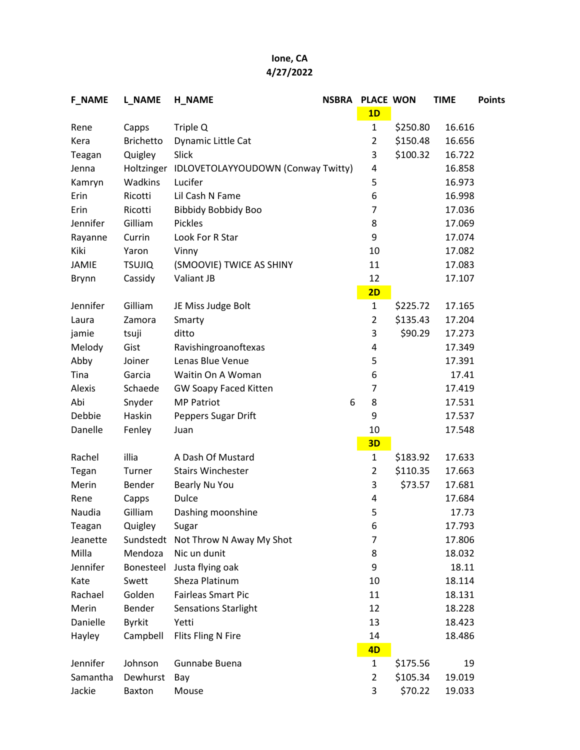## Ione, CA 4/27/2022

| <b>F_NAME</b> | <b>L_NAME</b>    | <b>H_NAME</b>                      | <b>NSBRA</b> | <b>PLACE WON</b> |          | <b>TIME</b> | <b>Points</b> |
|---------------|------------------|------------------------------------|--------------|------------------|----------|-------------|---------------|
|               |                  |                                    |              | 1D               |          |             |               |
| Rene          | Capps            | Triple Q                           |              | $\mathbf{1}$     | \$250.80 | 16.616      |               |
| Kera          | <b>Brichetto</b> | Dynamic Little Cat                 |              | $\overline{2}$   | \$150.48 | 16.656      |               |
| Teagan        | Quigley          | Slick                              |              | 3                | \$100.32 | 16.722      |               |
| Jenna         | Holtzinger       | IDLOVETOLAYYOUDOWN (Conway Twitty) |              | 4                |          | 16.858      |               |
| Kamryn        | Wadkins          | Lucifer                            |              | 5                |          | 16.973      |               |
| Erin          | Ricotti          | Lil Cash N Fame                    |              | 6                |          | 16.998      |               |
| Erin          | Ricotti          | <b>Bibbidy Bobbidy Boo</b>         |              | 7                |          | 17.036      |               |
| Jennifer      | Gilliam          | <b>Pickles</b>                     |              | 8                |          | 17.069      |               |
| Rayanne       | Currin           | Look For R Star                    |              | 9                |          | 17.074      |               |
| Kiki          | Yaron            | Vinny                              |              | 10               |          | 17.082      |               |
| JAMIE         | <b>TSUJIQ</b>    | (SMOOVIE) TWICE AS SHINY           |              | 11               |          | 17.083      |               |
| <b>Brynn</b>  | Cassidy          | Valiant JB                         |              | 12               |          | 17.107      |               |
|               |                  |                                    |              | 2D               |          |             |               |
| Jennifer      | Gilliam          | JE Miss Judge Bolt                 |              | $\mathbf{1}$     | \$225.72 | 17.165      |               |
| Laura         | Zamora           | Smarty                             |              | $\overline{2}$   | \$135.43 | 17.204      |               |
| jamie         | tsuji            | ditto                              |              | 3                | \$90.29  | 17.273      |               |
| Melody        | Gist             | Ravishingroanoftexas               |              | 4                |          | 17.349      |               |
| Abby          | Joiner           | Lenas Blue Venue                   |              | 5                |          | 17.391      |               |
| Tina          | Garcia           | Waitin On A Woman                  |              | 6                |          | 17.41       |               |
| Alexis        | Schaede          | <b>GW Soapy Faced Kitten</b>       |              | 7                |          | 17.419      |               |
| Abi           | Snyder           | <b>MP Patriot</b>                  | 6            | 8                |          | 17.531      |               |
| Debbie        | Haskin           | Peppers Sugar Drift                |              | 9                |          | 17.537      |               |
| Danelle       | Fenley           | Juan                               |              | 10               |          | 17.548      |               |
|               |                  |                                    |              | 3D               |          |             |               |
| Rachel        | illia            | A Dash Of Mustard                  |              | $\mathbf{1}$     | \$183.92 | 17.633      |               |
| Tegan         | Turner           | <b>Stairs Winchester</b>           |              | 2                | \$110.35 | 17.663      |               |
| Merin         | Bender           | Bearly Nu You                      |              | 3                | \$73.57  | 17.681      |               |
| Rene          | Capps            | Dulce                              |              | 4                |          | 17.684      |               |
| Naudia        | Gilliam          | Dashing moonshine                  |              | 5                |          | 17.73       |               |
| Teagan        | Quigley          | Sugar                              |              | 6                |          | 17.793      |               |
| Jeanette      | Sundstedt        | Not Throw N Away My Shot           |              | 7                |          | 17.806      |               |
| Milla         | Mendoza          | Nic un dunit                       |              | 8                |          | 18.032      |               |
| Jennifer      | Bonesteel        | Justa flying oak                   |              | 9                |          | 18.11       |               |
| Kate          | Swett            | Sheza Platinum                     |              | 10               |          | 18.114      |               |
| Rachael       | Golden           | <b>Fairleas Smart Pic</b>          |              | 11               |          | 18.131      |               |
| Merin         | Bender           | <b>Sensations Starlight</b>        |              | 12               |          | 18.228      |               |
| Danielle      | <b>Byrkit</b>    | Yetti                              |              | 13               |          | 18.423      |               |
| Hayley        | Campbell         | <b>Flits Fling N Fire</b>          |              | 14               |          | 18.486      |               |
|               |                  |                                    |              | 4D               |          |             |               |
| Jennifer      | Johnson          | Gunnabe Buena                      |              | 1                | \$175.56 | 19          |               |
| Samantha      | Dewhurst         | Bay                                |              | 2                | \$105.34 | 19.019      |               |
| Jackie        | Baxton           | Mouse                              |              | 3                | \$70.22  | 19.033      |               |